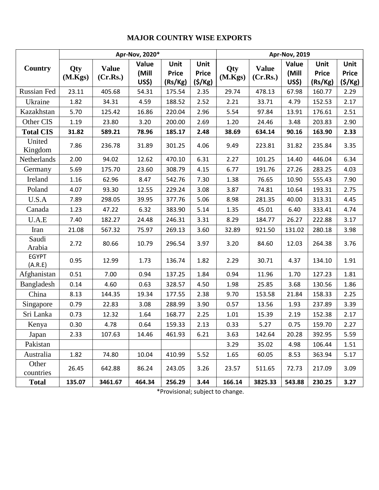## **MAJOR COUNTRY WISE EXPORTS**

| Country                 |                | Apr-Nov, 2020*           | <b>Apr-Nov, 2019</b>    |                                 |                                 |                |                          |                         |                                 |                                |
|-------------------------|----------------|--------------------------|-------------------------|---------------------------------|---------------------------------|----------------|--------------------------|-------------------------|---------------------------------|--------------------------------|
|                         | Qty<br>(M.Kgs) | <b>Value</b><br>(Cr.Rs.) | Value<br>(Mill<br>US\$) | Unit<br><b>Price</b><br>(Rs/Kg) | Unit<br><b>Price</b><br>(\$/Kg) | Qty<br>(M.Kgs) | <b>Value</b><br>(Cr.Rs.) | Value<br>(Mill<br>US\$) | Unit<br><b>Price</b><br>(Rs/Kg) | Unit<br><b>Price</b><br>(S/Kg) |
| Russian Fed             | 23.11          | 405.68                   | 54.31                   | 175.54                          | 2.35                            | 29.74          | 478.13                   | 67.98                   | 160.77                          | 2.29                           |
| Ukraine                 | 1.82           | 34.31                    | 4.59                    | 188.52                          | 2.52                            | 2.21           | 33.71                    | 4.79                    | 152.53                          | 2.17                           |
| Kazakhstan              | 5.70           | 125.42                   | 16.86                   | 220.04                          | 2.96                            | 5.54           | 97.84                    | 13.91                   | 176.61                          | 2.51                           |
| Other CIS               | 1.19           | 23.80                    | 3.20                    | 200.00                          | 2.69                            | 1.20           | 24.46                    | 3.48                    | 203.83                          | 2.90                           |
| <b>Total CIS</b>        | 31.82          | 589.21                   | 78.96                   | 185.17                          | 2.48                            | 38.69          | 634.14                   | 90.16                   | 163.90                          | 2.33                           |
| United<br>Kingdom       | 7.86           | 236.78                   | 31.89                   | 301.25                          | 4.06                            | 9.49           | 223.81                   | 31.82                   | 235.84                          | 3.35                           |
| Netherlands             | 2.00           | 94.02                    | 12.62                   | 470.10                          | 6.31                            | 2.27           | 101.25                   | 14.40                   | 446.04                          | 6.34                           |
| Germany                 | 5.69           | 175.70                   | 23.60                   | 308.79                          | 4.15                            | 6.77           | 191.76                   | 27.26                   | 283.25                          | 4.03                           |
| Ireland                 | 1.16           | 62.96                    | 8.47                    | 542.76                          | 7.30                            | 1.38           | 76.65                    | 10.90                   | 555.43                          | 7.90                           |
| Poland                  | 4.07           | 93.30                    | 12.55                   | 229.24                          | 3.08                            | 3.87           | 74.81                    | 10.64                   | 193.31                          | 2.75                           |
| U.S.A                   | 7.89           | 298.05                   | 39.95                   | 377.76                          | 5.06                            | 8.98           | 281.35                   | 40.00                   | 313.31                          | 4.45                           |
| Canada                  | 1.23           | 47.22                    | 6.32                    | 383.90                          | 5.14                            | 1.35           | 45.01                    | 6.40                    | 333.41                          | 4.74                           |
| U.A.E                   | 7.40           | 182.27                   | 24.48                   | 246.31                          | 3.31                            | 8.29           | 184.77                   | 26.27                   | 222.88                          | 3.17                           |
| Iran                    | 21.08          | 567.32                   | 75.97                   | 269.13                          | 3.60                            | 32.89          | 921.50                   | 131.02                  | 280.18                          | 3.98                           |
| Saudi<br>Arabia         | 2.72           | 80.66                    | 10.79                   | 296.54                          | 3.97                            | 3.20           | 84.60                    | 12.03                   | 264.38                          | 3.76                           |
| <b>EGYPT</b><br>(A.R.E) | 0.95           | 12.99                    | 1.73                    | 136.74                          | 1.82                            | 2.29           | 30.71                    | 4.37                    | 134.10                          | 1.91                           |
| Afghanistan             | 0.51           | 7.00                     | 0.94                    | 137.25                          | 1.84                            | 0.94           | 11.96                    | 1.70                    | 127.23                          | 1.81                           |
| Bangladesh              | 0.14           | 4.60                     | 0.63                    | 328.57                          | 4.50                            | 1.98           | 25.85                    | 3.68                    | 130.56                          | 1.86                           |
| China                   | 8.13           | 144.35                   | 19.34                   | 177.55                          | 2.38                            | 9.70           | 153.58                   | 21.84                   | 158.33                          | 2.25                           |
| Singapore               | 0.79           | 22.83                    | 3.08                    | 288.99                          | 3.90                            | 0.57           | 13.56                    | 1.93                    | 237.89                          | 3.39                           |
| Sri Lanka               | 0.73           | 12.32                    | 1.64                    | 168.77                          | 2.25                            | 1.01           | 15.39                    | 2.19                    | 152.38                          | 2.17                           |
| Kenya                   | 0.30           | 4.78                     | 0.64                    | 159.33                          | 2.13                            | 0.33           | 5.27                     | 0.75                    | 159.70                          | 2.27                           |
| Japan                   | 2.33           | 107.63                   | 14.46                   | 461.93                          | 6.21                            | 3.63           | 142.64                   | 20.28                   | 392.95                          | 5.59                           |
| Pakistan                |                |                          |                         |                                 |                                 | 3.29           | 35.02                    | 4.98                    | 106.44                          | 1.51                           |
| Australia               | 1.82           | 74.80                    | 10.04                   | 410.99                          | 5.52                            | 1.65           | 60.05                    | 8.53                    | 363.94                          | 5.17                           |
| Other<br>countries      | 26.45          | 642.88                   | 86.24                   | 243.05                          | 3.26                            | 23.57          | 511.65                   | 72.73                   | 217.09                          | 3.09                           |
| <b>Total</b>            | 135.07         | 3461.67                  | 464.34                  | 256.29                          | 3.44                            | 166.14         | 3825.33                  | 543.88                  | 230.25                          | 3.27                           |

\*Provisional; subject to change.